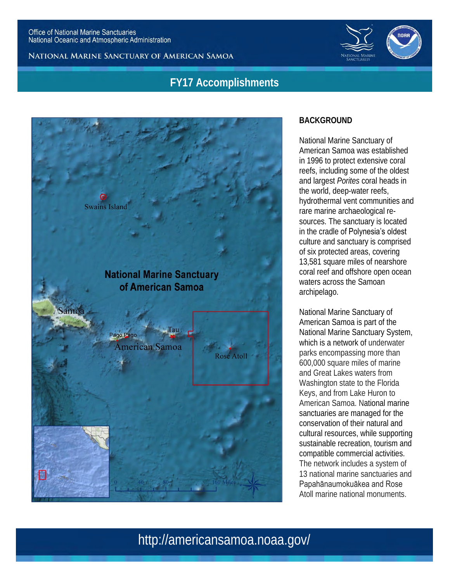NATIONAL MARINE SANCTUARY OF AMERICAN SAMOA

# **FY17 Accomplishments**



### **BACKGROUND**

National Marine Sanctuary of American Samoa was established in 1996 to protect extensive coral reefs, including some of the oldest and largest *Porites* coral heads in the world, deep-water reefs, hydrothermal vent communities and rare marine archaeological resources. The sanctuary is located in the cradle of Polynesia's oldest culture and sanctuary is comprised of six protected areas, covering 13,581 square miles of nearshore coral reef and offshore open ocean waters across the Samoan archipelago.

National Marine Sanctuary of American Samoa is part of the National Marine Sanctuary System, which is a network of underwater parks encompassing more than 600,000 square miles of marine and Great Lakes waters from Washington state to the Florida Keys, and from Lake Huron to American Samoa. National marine sanctuaries are managed for the conservation of their natural and cultural resources, while supporting sustainable recreation, tourism and compatible commercial activities. The network includes a system of 13 national marine sanctuaries and Papahānaumokuākea and Rose Atoll marine national monuments.

http://americansamoa.noaa.gov/